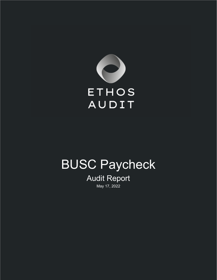

# BUSC Paycheck

## Audit Report May 17, 2022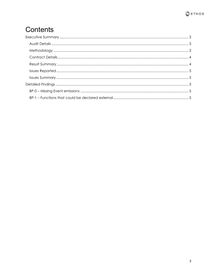

# Contents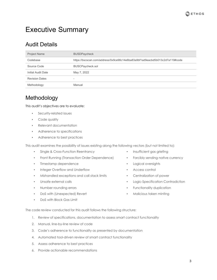

## <span id="page-2-0"></span>Executive Summary

## <span id="page-2-1"></span>Audit Details

| <b>Project Name</b>   | <b>BUSDPaycheck</b>                                                         |
|-----------------------|-----------------------------------------------------------------------------|
| Codebase              | https://bscscan.com/address/0x9ce98c14e6ba83a9bf1ad9eacbd5b013c2d7a119#code |
| Source Code           | BUSCPaycheck.sol                                                            |
| Initial Audit Date    | May 7, 2022                                                                 |
| <b>Revision Dates</b> | $\overline{\phantom{0}}$                                                    |
| Methodology           | Manual                                                                      |

#### <span id="page-2-2"></span>Methodology

This audit's objectives are to evaluate:

- **•** Security-related issues
- Code quality
- Relevant documentation
- Adherence to specifications
- Adherence to best practices

This audit examines the possibility of issues existing along the following vectors (but not limited to):

- **Single & Cross-Function Reentrancy**
- Front Running (Transaction Order Dependence)
- Timestamp dependence
- Integer Overflow and Underflow
- Mishandled exceptions and call stack limits
- Unsafe external calls
- Number rounding errors
- DoS with (Unexpected) Revert
- DoS with Block Gas Limit
- Insufficient gas griefing **•** Forcibly sending native currency
- Logical oversights
- Access control
- Centralization of power
- Logic-Specification Contradiction
- Functionality duplication
- Malicious token minting

The code review conducted for this audit follows the following structure:

- 1. Review of specifications, documentation to assess smart contract functionality
- 2. Manual, line-by-line review of code
- 3. Code's adherence to functionality as presented by documentation
- 4. Automated tool-driven review of smart contract functionality
- 5. Assess adherence to best practices
- 6. Provide actionable recommendations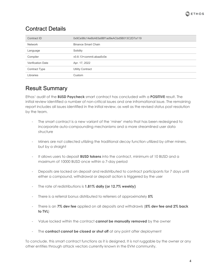

## <span id="page-3-0"></span>Contract Details

| Contract ID              | 0x9Ce98c14e6bA83a9Bf1ad9eACbd5B013C2D7a119 |
|--------------------------|--------------------------------------------|
| Network                  | Binance Smart Chain                        |
| Language                 | Solidity                                   |
| Compiler                 | v0.8.13+commit.abaa5c0e                    |
| <b>Verification Date</b> | Apr. 17, 2022                              |
| <b>Contract Type</b>     | <b>Utility Contract</b>                    |
| Libraries                | Custom                                     |

#### <span id="page-3-1"></span>Result Summary

Ethos' audit of the **BUSD Paycheck** smart contract has concluded with a **POSITIVE** result. The initial review identified a number of non-critical issues and one infromational issue. The remaining report includes all issues identified in the initial review, as well as the revised status post resolution by the team.

- The smart contract is a new variant of the 'miner' meta that has been redesigned to incorporate auto-compounding mechanisms and a more streamlined user data structure
- Miners are not collected utilziing the traditional decay function utilized by other miners, but by a straight
- It allows users to deposit **BUSD tokens** into the contract, minimum of 10 BUSD and a maximum of 10000 BUSD once within a 7-day period
- Deposits are locked on deposit and redistributed to contract participants for 7 days until either a compound, withdrawal or deposit action is triggered by the user
- The rate of redistributions is **1.81% daily (or 12.7% weekly)**
- There is a referral bonus distributed to referrers of approximately **5%**
- There is an **7% dev fee** applied on all deposits and withdrawls (**5% dev fee and 2% back to TVL**)
- Value locked within the contract **cannot be manually removed** by the owner
- The **contract cannot be closed or shut off** at any point after deployment

To conclude, this smart contract functions as it is designed. It is not ruggable by the owner or any other entities through attack vectors currently known in the EVM community.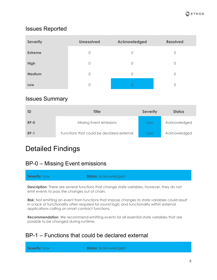

#### <span id="page-4-0"></span>Issues Reported

| <b>Severity</b> | <b>Unresolved</b> | Acknowledged   | <b>Resolved</b> |
|-----------------|-------------------|----------------|-----------------|
| <b>Extreme</b>  | $\circ$           | $\Omega$       | 0               |
| High            | $\circ$           | $\overline{0}$ | 0               |
| <b>Medium</b>   | $\circ$           | $\Omega$       | $\mathbf 0$     |
| Low             | 0                 |                | 0               |

#### <span id="page-4-1"></span>Issues Summary

|             | <b>Title</b>                              | <b>Severity</b> | <b>Status</b> |
|-------------|-------------------------------------------|-----------------|---------------|
| <b>BP-0</b> | Missing Event emissions                   | <b>LOW</b>      | Acknowledged  |
| $BP-1$      | Functions that could be declared external | <b>LOW</b>      | Acknowledged  |

## <span id="page-4-2"></span>Detailed Findings

#### <span id="page-4-3"></span>BP-0 – Missing Event emissions

**Severity**: Low **Status:** Acknowledged

**Description**: There are several functions that change state variables, however, they do not emit events to pass the changes out of chain.

**Risk**: Not emitting an event from functions that impose changes to state variables could result in a lack of functionality often required for sound logic and functionality within external applications calling on smart contract functions.

**Recommendation**: We recommend emitting events for all essential state variables that are possible to be changed during runtime.

#### <span id="page-4-4"></span>BP-1 – Functions that could be declared external

**Severity**: Low **Status:** Acknowledged